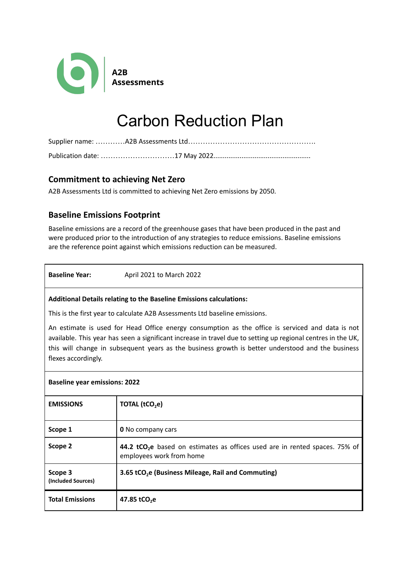

# Carbon Reduction Plan

## **Commitment to achieving Net Zero**

A2B Assessments Ltd is committed to achieving Net Zero emissions by 2050.

# **Baseline Emissions Footprint**

Baseline emissions are a record of the greenhouse gases that have been produced in the past and were produced prior to the introduction of any strategies to reduce emissions. Baseline emissions are the reference point against which emissions reduction can be measured.

**Baseline Year:** April 2021 to March 2022

#### **Additional Details relating to the Baseline Emissions calculations:**

This is the first year to calculate A2B Assessments Ltd baseline emissions.

An estimate is used for Head Office energy consumption as the office is serviced and data is not available. This year has seen a significant increase in travel due to setting up regional centres in the UK, this will change in subsequent years as the business growth is better understood and the business flexes accordingly.

#### **Baseline year emissions: 2022**

| <b>EMISSIONS</b>              | TOTAL (tCO <sub>2</sub> e)                                                                                          |
|-------------------------------|---------------------------------------------------------------------------------------------------------------------|
| Scope 1                       | <b>0</b> No company cars                                                                                            |
| Scope 2                       | 44.2 tCO <sub>2</sub> e based on estimates as offices used are in rented spaces. 75% of<br>employees work from home |
| Scope 3<br>(Included Sources) | 3.65 tCO <sub>2</sub> e (Business Mileage, Rail and Commuting)                                                      |
| <b>Total Emissions</b>        | 47.85 tCO <sub>2</sub> e                                                                                            |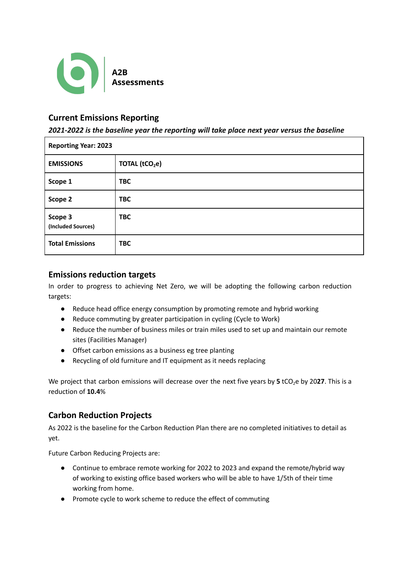

## **Current Emissions Reporting**

*2021-2022 is the baseline year the reporting will take place next year versus the baseline*

| <b>Reporting Year: 2023</b>   |                            |  |
|-------------------------------|----------------------------|--|
| <b>EMISSIONS</b>              | TOTAL (tCO <sub>2</sub> e) |  |
| Scope 1                       | <b>TBC</b>                 |  |
| Scope 2                       | <b>TBC</b>                 |  |
| Scope 3<br>(Included Sources) | <b>TBC</b>                 |  |
| <b>Total Emissions</b>        | <b>TBC</b>                 |  |

## **Emissions reduction targets**

In order to progress to achieving Net Zero, we will be adopting the following carbon reduction targets:

- Reduce head office energy consumption by promoting remote and hybrid working
- Reduce commuting by greater participation in cycling (Cycle to Work)
- Reduce the number of business miles or train miles used to set up and maintain our remote sites (Facilities Manager)
- Offset carbon emissions as a business eg tree planting
- Recycling of old furniture and IT equipment as it needs replacing

We project that carbon emissions will decrease over the next five years by **5** tCO<sub>2</sub>e by 2027. This is a reduction of **10.4**%

# **Carbon Reduction Projects**

As 2022 is the baseline for the Carbon Reduction Plan there are no completed initiatives to detail as yet.

Future Carbon Reducing Projects are:

- Continue to embrace remote working for 2022 to 2023 and expand the remote/hybrid way of working to existing office based workers who will be able to have 1/5th of their time working from home.
- Promote cycle to work scheme to reduce the effect of commuting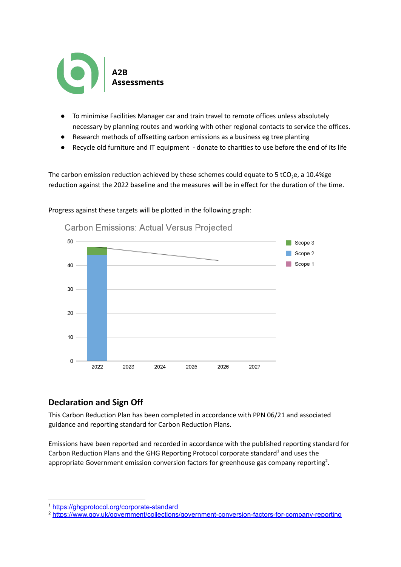

- To minimise Facilities Manager car and train travel to remote offices unless absolutely necessary by planning routes and working with other regional contacts to service the offices.
- Research methods of offsetting carbon emissions as a business eg tree planting
- Recycle old furniture and IT equipment donate to charities to use before the end of its life

The carbon emission reduction achieved by these schemes could equate to 5 tCO<sub>2</sub>e, a 10.4%ge reduction against the 2022 baseline and the measures will be in effect for the duration of the time.



Progress against these targets will be plotted in the following graph:

## **Declaration and Sign Off**

This Carbon Reduction Plan has been completed in accordance with PPN 06/21 and associated guidance and reporting standard for Carbon Reduction Plans.

Emissions have been reported and recorded in accordance with the published reporting standard for Carbon Reduction Plans and the GHG Reporting Protocol corporate standard<sup>1</sup> and uses the appropriate [Government](https://www.gov.uk/government/collections/government-conversion-factors-for-company-reporting) emission conversion factors for greenhouse gas company reporting<sup>2</sup>.

<sup>1</sup> <https://ghgprotocol.org/corporate-standard>

<sup>2</sup> <https://www.gov.uk/government/collections/government-conversion-factors-for-company-reporting>